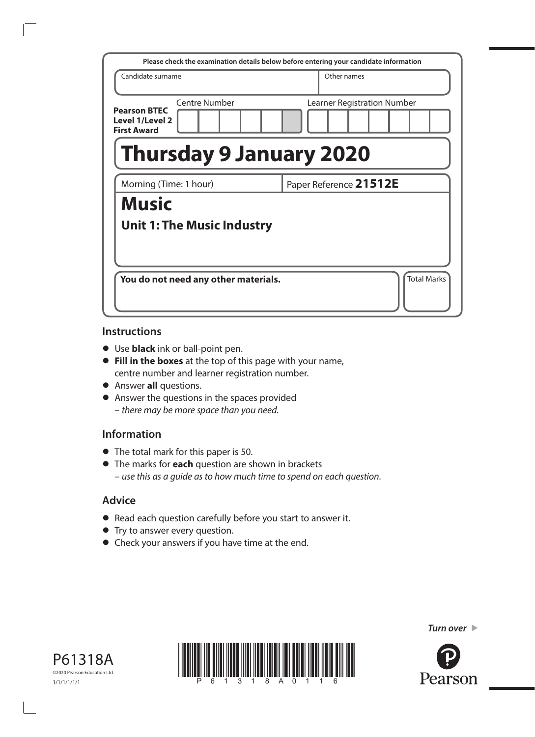|                                                                                             | Please check the examination details below before entering your candidate information |
|---------------------------------------------------------------------------------------------|---------------------------------------------------------------------------------------|
| Candidate surname                                                                           | Other names                                                                           |
| <b>Centre Number</b><br><b>Pearson BTEC</b><br><b>Level 1/Level 2</b><br><b>First Award</b> | Learner Registration Number                                                           |
| <b>Thursday 9 January 2020</b>                                                              |                                                                                       |
| Morning (Time: 1 hour)                                                                      | Paper Reference 21512E                                                                |
| Music<br><b>Unit 1: The Music Industry</b>                                                  |                                                                                       |
| You do not need any other materials.                                                        | <b>Total Marks</b>                                                                    |

#### **Instructions**

- **•** Use **black** ink or ball-point pen.
- **• Fill in the boxes** at the top of this page with your name, centre number and learner registration number.
- **•** Answer **all** questions.
- **•** Answer the questions in the spaces provided – *there may be more space than you need*.

## **Information**

- **•** The total mark for this paper is 50.
- **•** The marks for **each** question are shown in brackets – *use this as a guide as to how much time to spend on each question*.

## **Advice**

- **•** Read each question carefully before you start to answer it.
- **•** Try to answer every question.
- **•** Check your answers if you have time at the end.





*Turn over* 

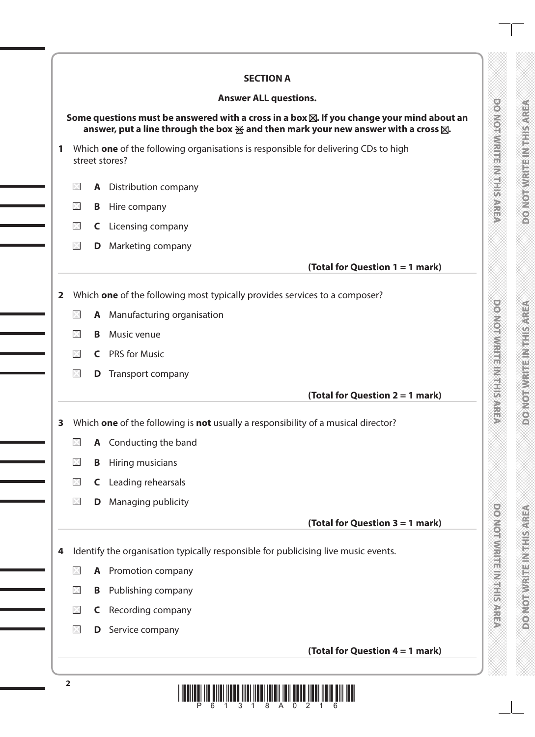| Í      |  |   |   |    |   |   |
|--------|--|---|---|----|---|---|
|        |  |   |   |    |   |   |
|        |  |   |   |    |   |   |
|        |  |   |   |    |   |   |
|        |  |   |   |    |   |   |
|        |  |   |   |    |   |   |
|        |  |   |   |    |   | ś |
|        |  |   |   | s, |   |   |
|        |  |   |   |    |   |   |
|        |  |   |   |    |   |   |
|        |  |   |   |    |   |   |
|        |  |   | ú |    |   |   |
|        |  |   |   |    |   |   |
|        |  |   |   |    |   |   |
|        |  |   |   |    |   |   |
|        |  |   |   |    | ä |   |
|        |  | ì |   |    |   |   |
|        |  |   |   |    |   |   |
|        |  |   |   |    |   |   |
|        |  | ě |   |    |   |   |
|        |  |   |   |    |   |   |
|        |  |   |   |    |   |   |
|        |  | î |   |    |   |   |
|        |  |   |   |    |   |   |
|        |  | ì |   |    |   | S |
|        |  |   |   |    |   |   |
|        |  | ì |   |    |   |   |
|        |  |   |   |    |   |   |
|        |  |   |   |    |   |   |
|        |  |   |   |    |   |   |
|        |  |   |   |    |   |   |
|        |  |   |   |    |   |   |
|        |  |   |   |    |   |   |
|        |  |   |   |    |   |   |
|        |  |   |   |    |   |   |
|        |  |   |   |    |   |   |
|        |  |   |   |    |   |   |
|        |  |   |   |    |   |   |
|        |  |   |   |    |   |   |
|        |  |   |   |    |   |   |
|        |  |   |   |    |   |   |
|        |  |   |   |    |   |   |
|        |  |   |   |    |   |   |
|        |  |   |   |    |   |   |
|        |  |   |   |    |   |   |
|        |  |   |   |    |   |   |
|        |  |   |   |    |   |   |
|        |  |   |   |    |   |   |
|        |  |   |   |    |   |   |
|        |  |   |   |    |   |   |
|        |  |   |   |    |   |   |
|        |  |   |   |    |   |   |
|        |  |   |   |    |   |   |
|        |  |   |   |    |   |   |
|        |  | í |   |    |   |   |
|        |  |   |   |    |   |   |
|        |  |   |   |    |   |   |
|        |  |   |   |    |   |   |
|        |  |   |   |    |   |   |
|        |  |   |   |    |   |   |
|        |  |   |   |    |   |   |
|        |  |   |   |    |   |   |
|        |  |   |   |    |   |   |
|        |  |   |   |    |   |   |
|        |  |   |   |    |   |   |
|        |  |   |   |    |   |   |
|        |  |   |   |    |   |   |
|        |  |   |   |    |   |   |
|        |  |   |   |    |   |   |
| i<br>S |  |   |   |    |   |   |

## **SECTION A Answer ALL questions. DOMORATION ENGINEERING** Some questions must be answered with a cross in a box  $\boxtimes$ . If you change your mind about an answer, put a line through the box  $\boxtimes$  and then mark your new answer with a cross  $\boxtimes$ . **1** Which **one** of the following organisations is responsible for delivering CDs to high street stores?  $\boxtimes$ **A** Distribution company  $\times$ **B** Hire company  $\boxtimes$ **C** Licensing company  $\times$ **D** Marketing company **(Total for Question 1 = 1 mark) 2** Which **one** of the following most typically provides services to a composer? **PONDED MELTING STATE**  $\times$ **A** Manufacturing organisation  $\boxtimes$ **B** Music venue  $\boxtimes$ **C** PRS for Music  $\times$ **D** Transport company **(Total for Question 2 = 1 mark) 3** Which **one** of the following is **not** usually a responsibility of a musical director?  $\boxtimes$ **A** Conducting the band  $\times$ **B** Hiring musicians  $\boxtimes$ **C** Leading rehearsals  $\boxtimes$ **D** Managing publicity **DO NOTIVIAL EDITORIAL SALE (Total for Question 3 = 1 mark) 4** Identify the organisation typically responsible for publicising live music events. **A** Promotion company  $\boxtimes$ **B** Publishing company  $\boxtimes$ **C** Recording company  $\boxtimes$ **D** Service company **(Total for Question 4 = 1 mark)**

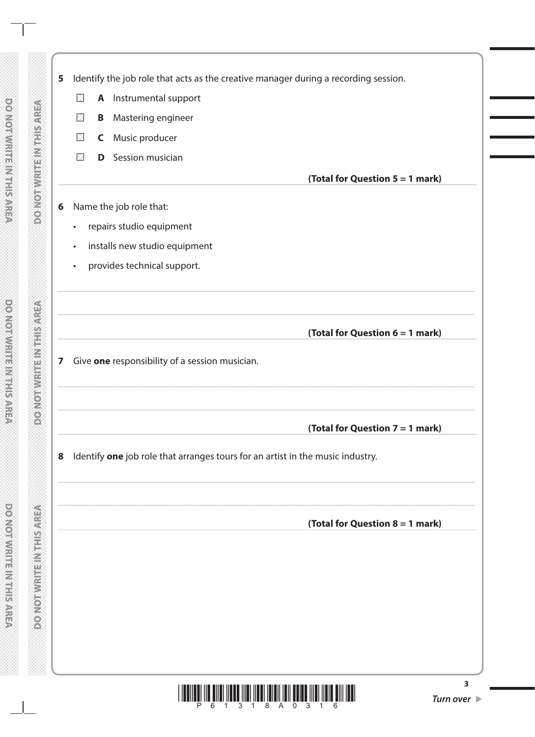|   | $\boxtimes$ |   | A Instrumental support                                                         |                                 |
|---|-------------|---|--------------------------------------------------------------------------------|---------------------------------|
|   | $\times$    | Β | Mastering engineer                                                             |                                 |
|   | $\times$    | C | Music producer                                                                 |                                 |
|   | $\boxtimes$ | D | Session musician                                                               |                                 |
|   |             |   |                                                                                | (Total for Question 5 = 1 mark) |
| 6 |             |   | Name the job role that:                                                        |                                 |
|   |             |   | repairs studio equipment                                                       |                                 |
|   | $\bullet$   |   | installs new studio equipment                                                  |                                 |
|   |             |   | provides technical support.                                                    |                                 |
|   |             |   |                                                                                |                                 |
|   |             |   |                                                                                |                                 |
|   |             |   |                                                                                | (Total for Question 6 = 1 mark) |
|   |             |   |                                                                                |                                 |
| 7 |             |   | Give one responsibility of a session musician.                                 |                                 |
|   |             |   |                                                                                |                                 |
|   |             |   |                                                                                |                                 |
|   |             |   |                                                                                | (Total for Question 7 = 1 mark) |
| 8 |             |   | Identify one job role that arranges tours for an artist in the music industry. |                                 |
|   |             |   |                                                                                |                                 |
|   |             |   |                                                                                |                                 |
|   |             |   |                                                                                |                                 |
|   |             |   |                                                                                | (Total for Question 8 = 1 mark) |
|   |             |   |                                                                                |                                 |
|   |             |   |                                                                                |                                 |
|   |             |   |                                                                                |                                 |
|   |             |   |                                                                                |                                 |
|   |             |   |                                                                                |                                 |



 $\mathbb{R}$ 

**DO NOT WRITE INTHIS AREA**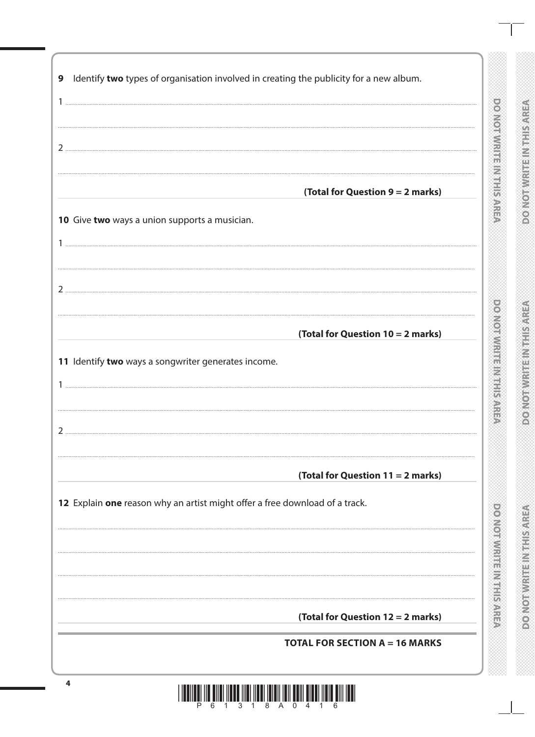| Identify two types of organisation involved in creating the publicity for a new album.<br>9                      |                                           |  |
|------------------------------------------------------------------------------------------------------------------|-------------------------------------------|--|
| (Total for Question 9 = 2 marks)                                                                                 | <b>DOMONTHEI</b><br>ar<br>M               |  |
| 10 Give two ways a union supports a musician.                                                                    |                                           |  |
| $2_{-}$<br>(Total for Question 10 = 2 marks)<br>11 Identify two ways a songwriter generates income.              | OOKO<br>ri<br>Ch<br>Ř                     |  |
| 2                                                                                                                |                                           |  |
| (Total for Question 11 = 2 marks)<br>12 Explain one reason why an artist might offer a free download of a track. | proximation of the process of the section |  |
| (Total for Question 12 = 2 marks)                                                                                |                                           |  |
| <b>TOTAL FOR SECTION A = 16 MARKS</b>                                                                            |                                           |  |

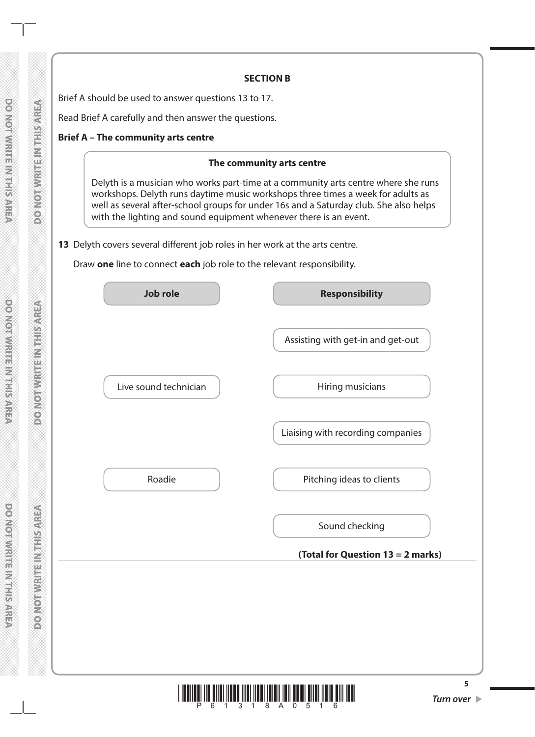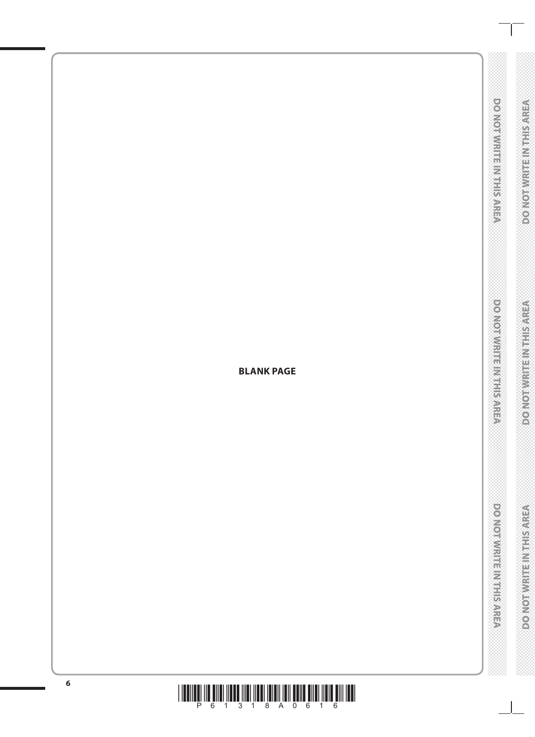# 

**DONOTWRITE IN THIS AREA** 

DONOTWRITEINTHISAREA

**DONOTWRITEINTHISAREA** 

**BLANK PAGE**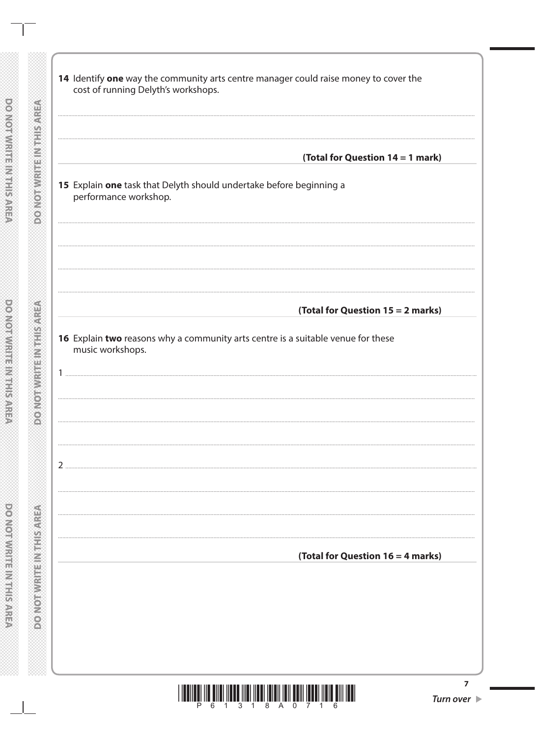14 Identify one way the community arts centre manager could raise money to cover the cost of running Delyth's workshops. **DONOTAL TELESCOPY** (Total for Question  $14 = 1$  mark) 15 Explain one task that Delyth should undertake before beginning a performance workshop. **ACTAVARIE HARRISSMEEN** (Total for Question 15 = 2 marks) 16 Explain two reasons why a community arts centre is a suitable venue for these music workshops. Ö<br>Ö G<br>E **DONOTWRIGHN** (Total for Question 16 = 4 marks)



**DONOINNRE NATH SARE!** 

**DOMOTIVIRIE: INTERNER:**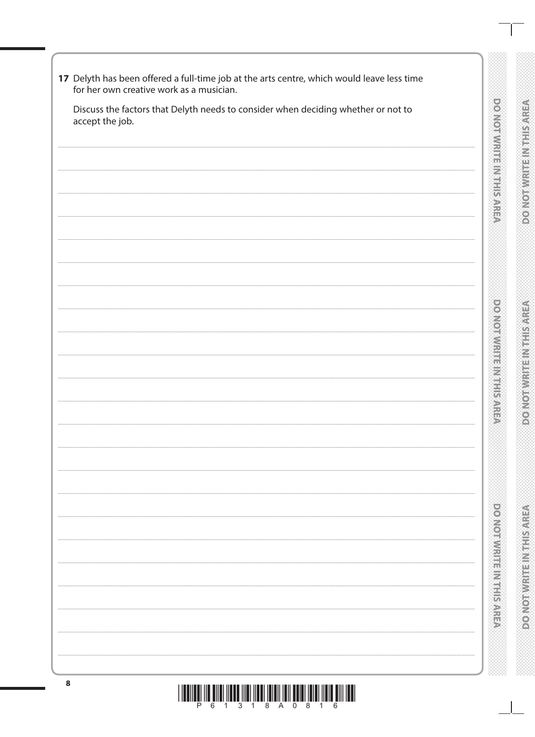| 17 Delyth has been offered a full-time job at the arts centre, which would leave less time<br>for her own creative work as a musician. |                                           |                                       |
|----------------------------------------------------------------------------------------------------------------------------------------|-------------------------------------------|---------------------------------------|
| Discuss the factors that Delyth needs to consider when deciding whether or not to<br>accept the job.                                   | <b>SEARCH CONTROL</b>                     | <b>POANOTAMINE IN THE SANTA</b>       |
|                                                                                                                                        | ラミー                                       |                                       |
|                                                                                                                                        | <b>ARTISTS</b>                            |                                       |
|                                                                                                                                        |                                           |                                       |
|                                                                                                                                        | 8<br>0                                    |                                       |
|                                                                                                                                        |                                           |                                       |
|                                                                                                                                        |                                           |                                       |
|                                                                                                                                        |                                           |                                       |
|                                                                                                                                        |                                           |                                       |
|                                                                                                                                        |                                           |                                       |
|                                                                                                                                        | <b>DOSTROIT DES RESERVES DES SURFACTS</b> | <b>RECEIVED IN A PERMIT ON A DISP</b> |
|                                                                                                                                        |                                           |                                       |
|                                                                                                                                        |                                           |                                       |
| 8                                                                                                                                      |                                           |                                       |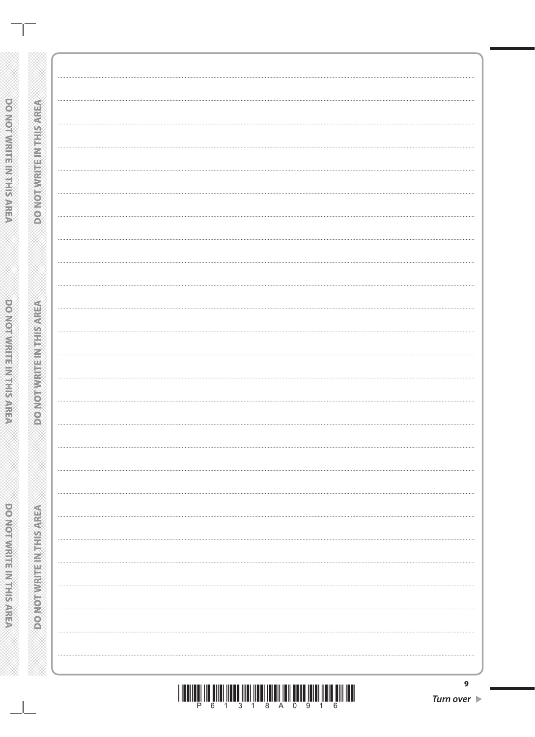| <b>DOMINIAN PROVIDED</b><br>G<br>H<br>6<br>20<br>20<br>Õ<br><b>DOMORATION STREET</b><br>É,<br>V) |  |
|--------------------------------------------------------------------------------------------------|--|
| <b>DOMORROWS IN STREET</b><br><b>WEBSTERN</b>                                                    |  |

 $\mathbb{R}$ 

 $\Box$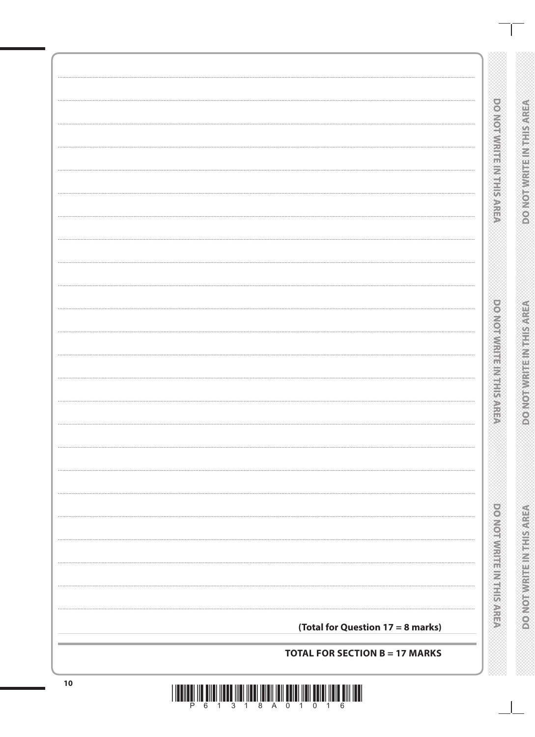DO NOTWRITE IN THIS AREA

DONOTWRITEINTHISAREA

DO NOTWRITE IN THIS AREA

(Total for Question 17 = 8 marks) **TOTAL FOR SECTION B = 17 MARKS** 

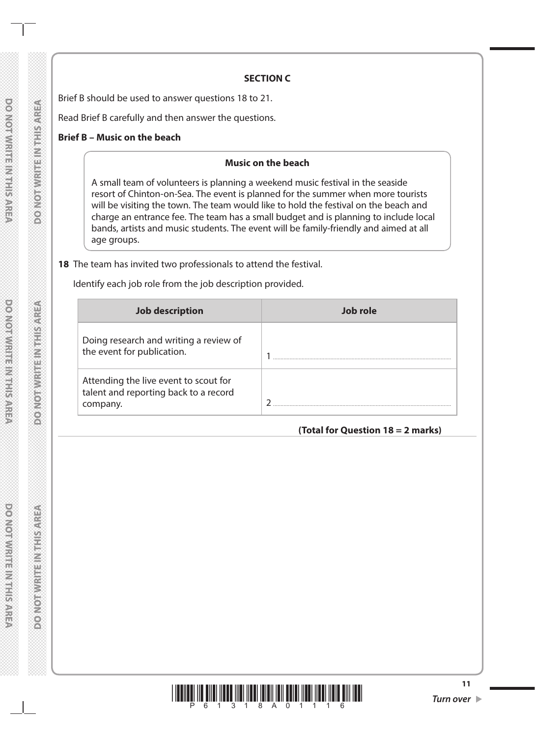#### **SECTION C**

Brief B should be used to answer questions 18 to 21.

Read Brief B carefully and then answer the questions.

## **Brief B – Music on the beach**

### **Music on the beach**

A small team of volunteers is planning a weekend music festival in the seaside resort of Chinton-on-Sea. The event is planned for the summer when more tourists will be visiting the town. The team would like to hold the festival on the beach and charge an entrance fee. The team has a small budget and is planning to include local bands, artists and music students. The event will be family-friendly and aimed at all age groups.

**18** The team has invited two professionals to attend the festival.

Identify each job role from the job description provided.

| <b>Job description</b>                                                                     | Job role |
|--------------------------------------------------------------------------------------------|----------|
| Doing research and writing a review of<br>the event for publication.                       |          |
| Attending the live event to scout for<br>talent and reporting back to a record<br>company. |          |

**(Total for Question 18 = 2 marks)**



人名日本

**POINCING MARKET BE** 

**DOATOF WRITEIN IT: ISSNRES** 

G)<br>H

**DONOTWRIGHN**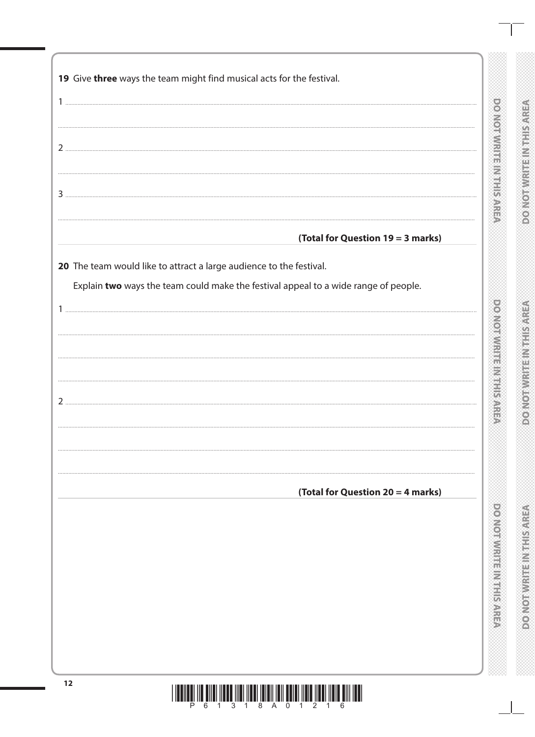| 19 Give three ways the team might find musical acts for the festival.               |  |
|-------------------------------------------------------------------------------------|--|
|                                                                                     |  |
|                                                                                     |  |
|                                                                                     |  |
|                                                                                     |  |
|                                                                                     |  |
|                                                                                     |  |
|                                                                                     |  |
| (Total for Question 19 = 3 marks)                                                   |  |
| 20 The team would like to attract a large audience to the festival.                 |  |
| Explain two ways the team could make the festival appeal to a wide range of people. |  |
|                                                                                     |  |
|                                                                                     |  |
|                                                                                     |  |
|                                                                                     |  |
|                                                                                     |  |
| $2$ .                                                                               |  |
|                                                                                     |  |
|                                                                                     |  |
|                                                                                     |  |
| (Total for Question 20 = 4 marks)                                                   |  |
|                                                                                     |  |
|                                                                                     |  |
|                                                                                     |  |
|                                                                                     |  |
|                                                                                     |  |
|                                                                                     |  |
|                                                                                     |  |
|                                                                                     |  |
| 12                                                                                  |  |

**DONOI WRITEINTHSAREA** 

**PONOTWERFINITIS AREA** 

**PO NOT WRITE IN THIS AREA** 

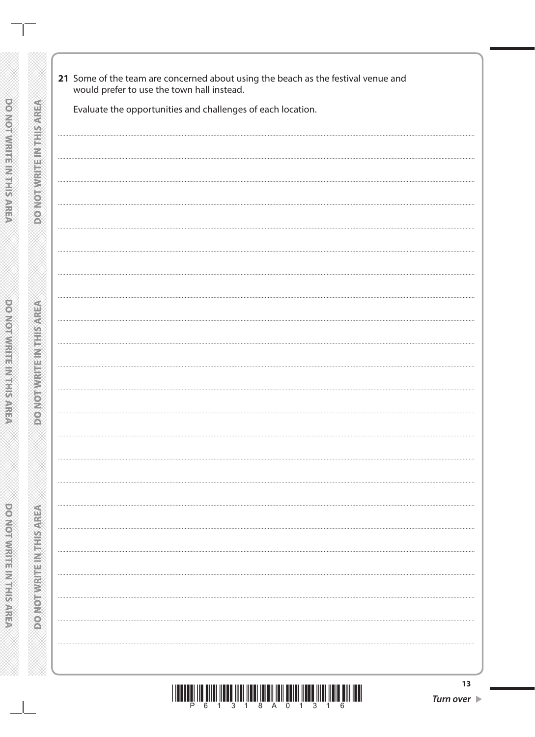| Evaluate the opportunities and challenges of each location. |                  |
|-------------------------------------------------------------|------------------|
|                                                             |                  |
|                                                             |                  |
|                                                             |                  |
|                                                             |                  |
|                                                             |                  |
|                                                             |                  |
|                                                             |                  |
|                                                             |                  |
|                                                             |                  |
|                                                             |                  |
|                                                             |                  |
|                                                             |                  |
|                                                             |                  |
|                                                             |                  |
|                                                             |                  |
|                                                             |                  |
|                                                             |                  |
|                                                             |                  |
|                                                             |                  |
|                                                             |                  |
|                                                             |                  |
|                                                             |                  |
|                                                             |                  |
|                                                             |                  |
|                                                             |                  |
|                                                             |                  |
|                                                             |                  |
|                                                             |                  |
|                                                             |                  |
|                                                             | 13               |
|                                                             | <b>Turn over</b> |

DO NOTWRITE INTHISAREA

DONOTWRITEINTHISAREA

 $\mathbb{R}^n$ 

ſ

DONOTWRITE IN THIS AREA

DONOTWRITEINTHIS AREA

DONOTWRITE INTHISAREA

DO NOT WRITE IN THIS AREA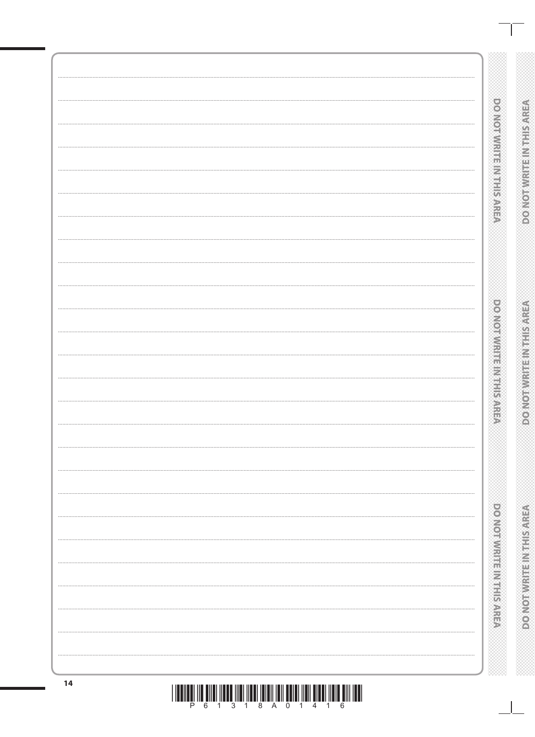| Q<br><b>More Wisheston</b><br>G<br>F<br><b>MEETHER CONSOLICIT</b><br>i<br>End<br>CONGER<br><b>MARKET AND READ</b><br><b>DOMESTIC REPORTS</b><br>E.<br>÷<br>Ź<br>6<br>Ż,<br>O<br>Q |
|-----------------------------------------------------------------------------------------------------------------------------------------------------------------------------------|
|                                                                                                                                                                                   |
|                                                                                                                                                                                   |
|                                                                                                                                                                                   |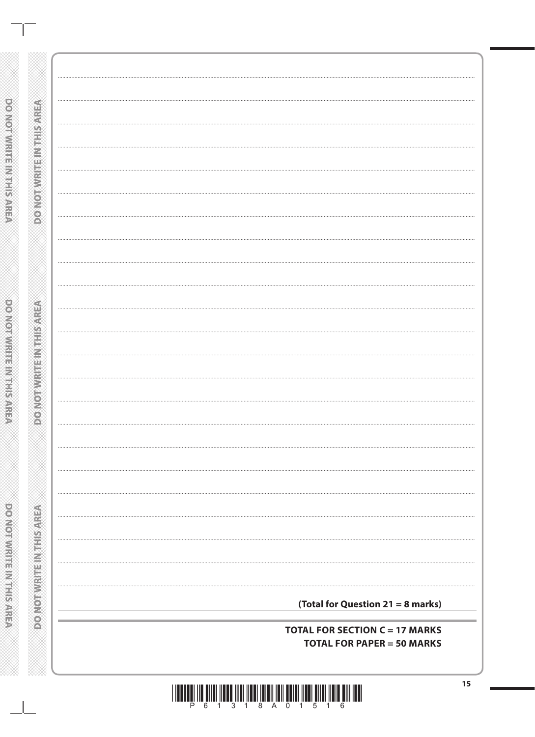| <b>Concommental Research</b>    | <b>ABSAREA</b><br><b>METHER METHODS</b> |                                                                            |
|---------------------------------|-----------------------------------------|----------------------------------------------------------------------------|
|                                 |                                         |                                                                            |
| <b>PONORMER IN THE SAME</b>     | $\circ$                                 |                                                                            |
| <b>DOMORAWRITE MARKERS AREA</b> | SAREA                                   | (Total for Question 21 = 8 marks)<br><b>TOTAL FOR SECTION C = 17 MARKS</b> |

 $\overline{\phantom{a}}$